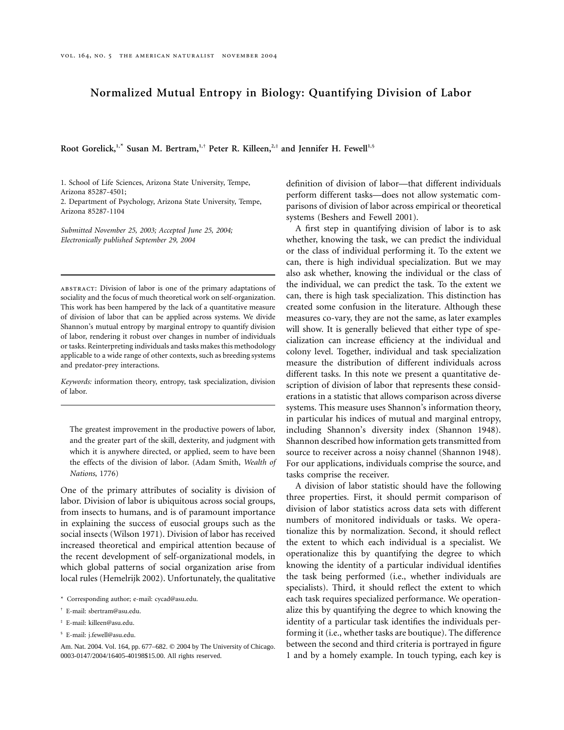# **Normalized Mutual Entropy in Biology: Quantifying Division of Labor**

**Root Gorelick,1,**\* **Susan M. Bertram,1,**† **Peter R. Killeen,2,**‡ **and Jennifer H. Fewell1,**§

1. School of Life Sciences, Arizona State University, Tempe, Arizona 85287-4501; 2. Department of Psychology, Arizona State University, Tempe,

Arizona 85287-1104

*Submitted November 25, 2003; Accepted June 25, 2004; Electronically published September 29, 2004*

abstract: Division of labor is one of the primary adaptations of sociality and the focus of much theoretical work on self-organization. This work has been hampered by the lack of a quantitative measure of division of labor that can be applied across systems. We divide Shannon's mutual entropy by marginal entropy to quantify division of labor, rendering it robust over changes in number of individuals or tasks. Reinterpreting individuals and tasks makes this methodology applicable to a wide range of other contexts, such as breeding systems and predator-prey interactions.

*Keywords:* information theory, entropy, task specialization, division of labor.

The greatest improvement in the productive powers of labor, and the greater part of the skill, dexterity, and judgment with which it is anywhere directed, or applied, seem to have been the effects of the division of labor. (Adam Smith, *Wealth of Nations*, 1776)

One of the primary attributes of sociality is division of labor. Division of labor is ubiquitous across social groups, from insects to humans, and is of paramount importance in explaining the success of eusocial groups such as the social insects (Wilson 1971). Division of labor has received increased theoretical and empirical attention because of the recent development of self-organizational models, in which global patterns of social organization arise from local rules (Hemelrijk 2002). Unfortunately, the qualitative

§ E-mail: j.fewell@asu.edu.

definition of division of labor—that different individuals perform different tasks—does not allow systematic comparisons of division of labor across empirical or theoretical systems (Beshers and Fewell 2001).

A first step in quantifying division of labor is to ask whether, knowing the task, we can predict the individual or the class of individual performing it. To the extent we can, there is high individual specialization. But we may also ask whether, knowing the individual or the class of the individual, we can predict the task. To the extent we can, there is high task specialization. This distinction has created some confusion in the literature. Although these measures co-vary, they are not the same, as later examples will show. It is generally believed that either type of specialization can increase efficiency at the individual and colony level. Together, individual and task specialization measure the distribution of different individuals across different tasks. In this note we present a quantitative description of division of labor that represents these considerations in a statistic that allows comparison across diverse systems. This measure uses Shannon's information theory, in particular his indices of mutual and marginal entropy, including Shannon's diversity index (Shannon 1948). Shannon described how information gets transmitted from source to receiver across a noisy channel (Shannon 1948). For our applications, individuals comprise the source, and tasks comprise the receiver.

A division of labor statistic should have the following three properties. First, it should permit comparison of division of labor statistics across data sets with different numbers of monitored individuals or tasks. We operationalize this by normalization. Second, it should reflect the extent to which each individual is a specialist. We operationalize this by quantifying the degree to which knowing the identity of a particular individual identifies the task being performed (i.e., whether individuals are specialists). Third, it should reflect the extent to which each task requires specialized performance. We operationalize this by quantifying the degree to which knowing the identity of a particular task identifies the individuals performing it (i.e., whether tasks are boutique). The difference between the second and third criteria is portrayed in figure 1 and by a homely example. In touch typing, each key is

<sup>\*</sup> Corresponding author; e-mail: cycad@asu.edu.

<sup>†</sup> E-mail: sbertram@asu.edu.

<sup>‡</sup> E-mail: killeen@asu.edu.

Am. Nat. 2004. Vol. 164, pp. 677-682. © 2004 by The University of Chicago. 0003-0147/2004/16405-40198\$15.00. All rights reserved.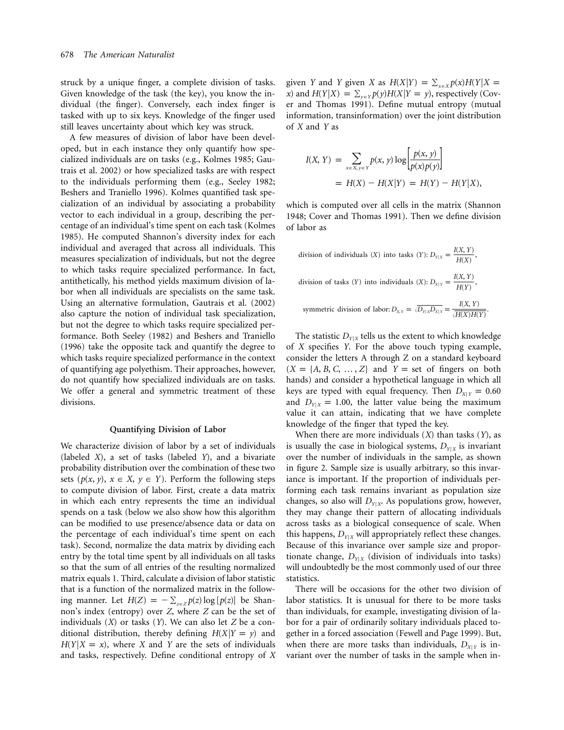struck by a unique finger, a complete division of tasks. Given knowledge of the task (the key), you know the individual (the finger). Conversely, each index finger is tasked with up to six keys. Knowledge of the finger used still leaves uncertainty about which key was struck.

A few measures of division of labor have been developed, but in each instance they only quantify how specialized individuals are on tasks (e.g., Kolmes 1985; Gautrais et al. 2002) or how specialized tasks are with respect to the individuals performing them (e.g., Seeley 1982; Beshers and Traniello 1996). Kolmes quantified task specialization of an individual by associating a probability vector to each individual in a group, describing the percentage of an individual's time spent on each task (Kolmes 1985). He computed Shannon's diversity index for each individual and averaged that across all individuals. This measures specialization of individuals, but not the degree to which tasks require specialized performance. In fact, antithetically, his method yields maximum division of labor when all individuals are specialists on the same task. Using an alternative formulation, Gautrais et al. (2002) also capture the notion of individual task specialization, but not the degree to which tasks require specialized performance. Both Seeley (1982) and Beshers and Traniello (1996) take the opposite tack and quantify the degree to which tasks require specialized performance in the context of quantifying age polyethism. Their approaches, however, do not quantify how specialized individuals are on tasks. We offer a general and symmetric treatment of these divisions.

#### **Quantifying Division of Labor**

We characterize division of labor by a set of individuals (labeled *X*), a set of tasks (labeled *Y*), and a bivariate probability distribution over the combination of these two sets  $(p(x, y), x \in X, y \in Y)$ . Perform the following steps to compute division of labor. First, create a data matrix in which each entry represents the time an individual spends on a task (below we also show how this algorithm can be modified to use presence/absence data or data on the percentage of each individual's time spent on each task). Second, normalize the data matrix by dividing each entry by the total time spent by all individuals on all tasks so that the sum of all entries of the resulting normalized matrix equals 1. Third, calculate a division of labor statistic that is a function of the normalized matrix in the following manner. Let  $H(Z) = -\sum_{z \in Z} p(z) \log [p(z)]$  be Shannon's index (entropy) over *Z*, where *Z* can be the set of individuals (*X*) or tasks (*Y*). We can also let *Z* be a conditional distribution, thereby defining  $H(X|Y = y)$  and  $H(Y|X = x)$ , where *X* and *Y* are the sets of individuals and tasks, respectively. Define conditional entropy of *X*

given *Y* and *Y* given *X* as  $H(X|Y) = \sum_{x \in X} p(x)H(Y|X =$ *x*) and  $H(Y|X) = \sum_{y \in Y} p(y)H(X|Y = y)$ , respectively (Cover and Thomas 1991). Define mutual entropy (mutual information, transinformation) over the joint distribution of *X* and *Y* as

$$
I(X, Y) = \sum_{x \in X, y \in Y} p(x, y) \log \left[ \frac{p(x, y)}{p(x)p(y)} \right]
$$
  
=  $H(X) - H(X|Y) = H(Y) - H(Y|X),$ 

which is computed over all cells in the matrix (Shannon 1948; Cover and Thomas 1991). Then we define division of labor as

division of individuals (*X*) into tasks (*Y*): 
$$
D_{Y|X} = \frac{I(X, Y)}{H(X)}
$$
,  
division of tasks (*Y*) into individuals (*X*):  $D_{X|Y} = \frac{I(X, Y)}{H(Y)}$ ,  
symmetric division of labor:  $D_{X,Y} = \sqrt{D_{Y|X}D_{X|Y}} = \frac{I(X, Y)}{\sqrt{H(X)H(Y)}}$ .

The statistic  $D_{Y|X}$  tells us the extent to which knowledge of *X* specifies *Y*. For the above touch typing example, consider the letters A through Z on a standard keyboard  $(X = \{A, B, C, \ldots, Z\}$  and  $Y = \{A, B, C, \ldots, Z\}$ hands) and consider a hypothetical language in which all keys are typed with equal frequency. Then  $D_{X|Y} = 0.60$ and  $D_{Y|X} = 1.00$ , the latter value being the maximum value it can attain, indicating that we have complete knowledge of the finger that typed the key.

When there are more individuals (*X*) than tasks (*Y*), as is usually the case in biological systems,  $D_{Y|X}$  is invariant over the number of individuals in the sample, as shown in figure 2. Sample size is usually arbitrary, so this invariance is important. If the proportion of individuals performing each task remains invariant as population size changes, so also will  $D_{Y|X}$ . As populations grow, however, they may change their pattern of allocating individuals across tasks as a biological consequence of scale. When this happens,  $D_{Y|X}$  will appropriately reflect these changes. Because of this invariance over sample size and proportionate change,  $D_{Y|X}$  (division of individuals into tasks) will undoubtedly be the most commonly used of our three statistics.

There will be occasions for the other two division of labor statistics. It is unusual for there to be more tasks than individuals, for example, investigating division of labor for a pair of ordinarily solitary individuals placed together in a forced association (Fewell and Page 1999). But, when there are more tasks than individuals,  $D_{X|Y}$  is invariant over the number of tasks in the sample when in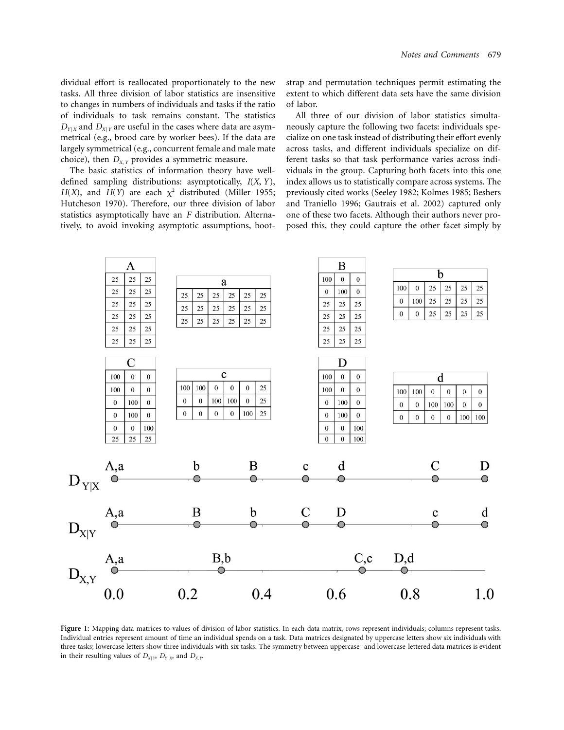dividual effort is reallocated proportionately to the new tasks. All three division of labor statistics are insensitive to changes in numbers of individuals and tasks if the ratio of individuals to task remains constant. The statistics  $D_{Y|X}$  and  $D_{X|Y}$  are useful in the cases where data are asymmetrical (e.g., brood care by worker bees). If the data are largely symmetrical (e.g., concurrent female and male mate choice), then  $D_{X,Y}$  provides a symmetric measure.

The basic statistics of information theory have welldefined sampling distributions: asymptotically,  $I(X, Y)$ , *H*(*X*), and *H*(*Y*) are each  $\chi^2$  distributed (Miller 1955; Hutcheson 1970). Therefore, our three division of labor statistics asymptotically have an *F* distribution. Alternatively, to avoid invoking asymptotic assumptions, bootstrap and permutation techniques permit estimating the extent to which different data sets have the same division of labor.

All three of our division of labor statistics simultaneously capture the following two facets: individuals specialize on one task instead of distributing their effort evenly across tasks, and different individuals specialize on different tasks so that task performance varies across individuals in the group. Capturing both facets into this one index allows us to statistically compare across systems. The previously cited works (Seeley 1982; Kolmes 1985; Beshers and Traniello 1996; Gautrais et al. 2002) captured only one of these two facets. Although their authors never proposed this, they could capture the other facet simply by



Figure 1: Mapping data matrices to values of division of labor statistics. In each data matrix, rows represent individuals; columns represent tasks. Individual entries represent amount of time an individual spends on a task. Data matrices designated by uppercase letters show six individuals with three tasks; lowercase letters show three individuals with six tasks. The symmetry between uppercase- and lowercase-lettered data matrices is evident in their resulting values of  $D_{X|Y}$ ,  $D_{Y|X}$ , and  $D_{X,Y}$ .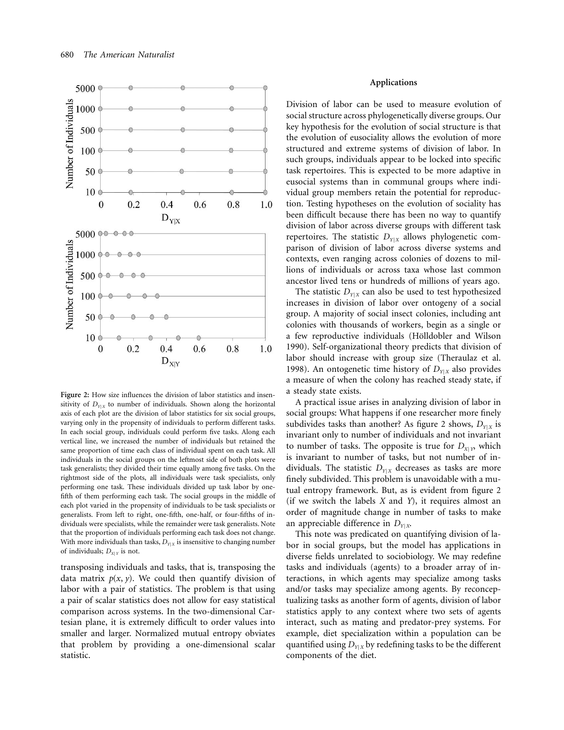

**Figure 2:** How size influences the division of labor statistics and insensitivity of  $D_{Y|X}$  to number of individuals. Shown along the horizontal axis of each plot are the division of labor statistics for six social groups, varying only in the propensity of individuals to perform different tasks. In each social group, individuals could perform five tasks. Along each vertical line, we increased the number of individuals but retained the same proportion of time each class of individual spent on each task. All individuals in the social groups on the leftmost side of both plots were task generalists; they divided their time equally among five tasks. On the rightmost side of the plots, all individuals were task specialists, only performing one task. These individuals divided up task labor by onefifth of them performing each task. The social groups in the middle of each plot varied in the propensity of individuals to be task specialists or generalists. From left to right, one-fifth, one-half, or four-fifths of individuals were specialists, while the remainder were task generalists. Note that the proportion of individuals performing each task does not change. With more individuals than tasks,  $D_{Y|X}$  is insensitive to changing number of individuals;  $D_{X|Y}$  is not.

transposing individuals and tasks, that is, transposing the data matrix  $p(x, y)$ . We could then quantify division of labor with a pair of statistics. The problem is that using a pair of scalar statistics does not allow for easy statistical comparison across systems. In the two-dimensional Cartesian plane, it is extremely difficult to order values into smaller and larger. Normalized mutual entropy obviates that problem by providing a one-dimensional scalar statistic.

## **Applications**

Division of labor can be used to measure evolution of social structure across phylogenetically diverse groups. Our key hypothesis for the evolution of social structure is that the evolution of eusociality allows the evolution of more structured and extreme systems of division of labor. In such groups, individuals appear to be locked into specific task repertoires. This is expected to be more adaptive in eusocial systems than in communal groups where individual group members retain the potential for reproduction. Testing hypotheses on the evolution of sociality has been difficult because there has been no way to quantify division of labor across diverse groups with different task repertoires. The statistic  $D_{Y|X}$  allows phylogenetic comparison of division of labor across diverse systems and contexts, even ranging across colonies of dozens to millions of individuals or across taxa whose last common ancestor lived tens or hundreds of millions of years ago.

The statistic  $D_{Y|X}$  can also be used to test hypothesized increases in division of labor over ontogeny of a social group. A majority of social insect colonies, including ant colonies with thousands of workers, begin as a single or a few reproductive individuals (Hölldobler and Wilson 1990). Self-organizational theory predicts that division of labor should increase with group size (Theraulaz et al. 1998). An ontogenetic time history of  $D_{Y|X}$  also provides a measure of when the colony has reached steady state, if a steady state exists.

A practical issue arises in analyzing division of labor in social groups: What happens if one researcher more finely subdivides tasks than another? As figure 2 shows,  $D_{Y|X}$  is invariant only to number of individuals and not invariant to number of tasks. The opposite is true for  $D_{X|Y}$  which is invariant to number of tasks, but not number of individuals. The statistic  $D_{Y|X}$  decreases as tasks are more finely subdivided. This problem is unavoidable with a mutual entropy framework. But, as is evident from figure 2 (if we switch the labels *X* and *Y*), it requires almost an order of magnitude change in number of tasks to make an appreciable difference in  $D_{Y|X}$ *.* 

This note was predicated on quantifying division of labor in social groups, but the model has applications in diverse fields unrelated to sociobiology. We may redefine tasks and individuals (agents) to a broader array of interactions, in which agents may specialize among tasks and/or tasks may specialize among agents. By reconceptualizing tasks as another form of agents, division of labor statistics apply to any context where two sets of agents interact, such as mating and predator-prey systems. For example, diet specialization within a population can be quantified using  $D_{Y|X}$  by redefining tasks to be the different components of the diet.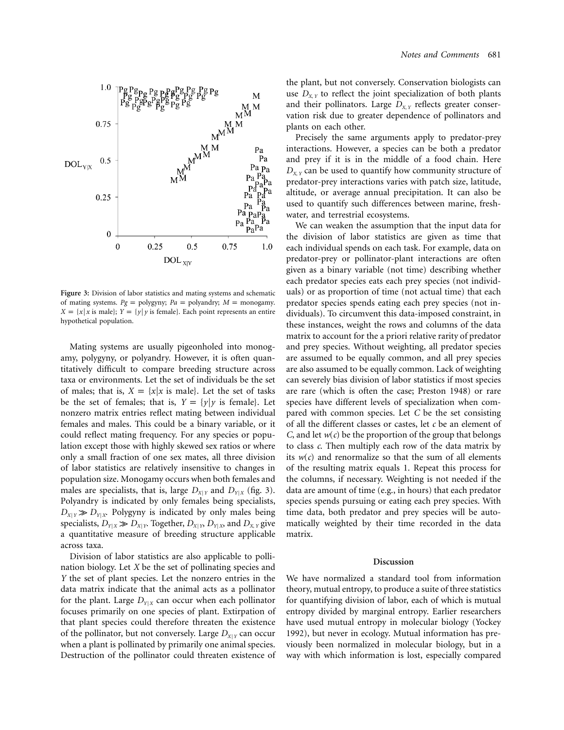

**Figure 3:** Division of labor statistics and mating systems and schematic of mating systems.  $Pg = polygyny$ ;  $Pa = polyandry$ ;  $M = monogamy$ .  $X = \{x | x$  is male};  $Y = \{y | y$  is female}. Each point represents an entire hypothetical population.

Mating systems are usually pigeonholed into monogamy, polygyny, or polyandry. However, it is often quantitatively difficult to compare breeding structure across taxa or environments. Let the set of individuals be the set of males; that is,  $X = \{x | x$  is male}. Let the set of tasks be the set of females; that is,  $Y = \{y | y$  is female}. Let nonzero matrix entries reflect mating between individual females and males. This could be a binary variable, or it could reflect mating frequency. For any species or population except those with highly skewed sex ratios or where only a small fraction of one sex mates, all three division of labor statistics are relatively insensitive to changes in population size. Monogamy occurs when both females and males are specialists, that is, large  $D_{X|Y}$  and  $D_{Y|X}$  (fig. 3). Polyandry is indicated by only females being specialists,  $D_{X|Y} \gg D_{Y|X}$ . Polygyny is indicated by only males being specialists,  $D_{Y|X} \gg D_{X|Y}$ . Together,  $D_{X|Y}$ ,  $D_{Y|X}$ , and  $D_{X,Y}$  give a quantitative measure of breeding structure applicable across taxa.

Division of labor statistics are also applicable to pollination biology. Let *X* be the set of pollinating species and *Y* the set of plant species. Let the nonzero entries in the data matrix indicate that the animal acts as a pollinator for the plant. Large  $D_{Y|X}$  can occur when each pollinator focuses primarily on one species of plant. Extirpation of that plant species could therefore threaten the existence of the pollinator, but not conversely. Large  $D_{X|Y}$  can occur when a plant is pollinated by primarily one animal species. Destruction of the pollinator could threaten existence of the plant, but not conversely. Conservation biologists can use  $D_{X,Y}$  to reflect the joint specialization of both plants and their pollinators. Large  $D_{X,Y}$  reflects greater conservation risk due to greater dependence of pollinators and plants on each other.

Precisely the same arguments apply to predator-prey interactions. However, a species can be both a predator and prey if it is in the middle of a food chain. Here  $D_{X,Y}$  can be used to quantify how community structure of predator-prey interactions varies with patch size, latitude, altitude, or average annual precipitation. It can also be used to quantify such differences between marine, freshwater, and terrestrial ecosystems.

We can weaken the assumption that the input data for the division of labor statistics are given as time that each individual spends on each task. For example, data on predator-prey or pollinator-plant interactions are often given as a binary variable (not time) describing whether each predator species eats each prey species (not individuals) or as proportion of time (not actual time) that each predator species spends eating each prey species (not individuals). To circumvent this data-imposed constraint, in these instances, weight the rows and columns of the data matrix to account for the a priori relative rarity of predator and prey species. Without weighting, all predator species are assumed to be equally common, and all prey species are also assumed to be equally common. Lack of weighting can severely bias division of labor statistics if most species are rare (which is often the case; Preston 1948) or rare species have different levels of specialization when compared with common species. Let *C* be the set consisting of all the different classes or castes, let *c* be an element of *C*, and let  $w(c)$  be the proportion of the group that belongs to class *c*. Then multiply each row of the data matrix by its  $w(c)$  and renormalize so that the sum of all elements of the resulting matrix equals 1. Repeat this process for the columns, if necessary. Weighting is not needed if the data are amount of time (e.g., in hours) that each predator species spends pursuing or eating each prey species. With time data, both predator and prey species will be automatically weighted by their time recorded in the data matrix.

## **Discussion**

We have normalized a standard tool from information theory, mutual entropy, to produce a suite of three statistics for quantifying division of labor, each of which is mutual entropy divided by marginal entropy. Earlier researchers have used mutual entropy in molecular biology (Yockey 1992), but never in ecology. Mutual information has previously been normalized in molecular biology, but in a way with which information is lost, especially compared